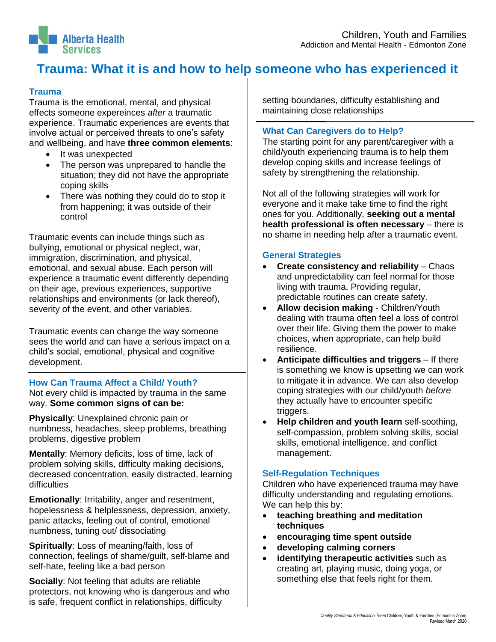

# **Trauma: What it is and how to help someone who has experienced it**

# **Trauma**

Trauma is the emotional, mental, and physical effects someone expereinces *after* a traumatic experience. Traumatic experiences are events that involve actual or perceived threats to one's safety and wellbeing, and have **three common elements**:

- It was unexpected
- The person was unprepared to handle the situation; they did not have the appropriate coping skills
- There was nothing they could do to stop it from happening; it was outside of their control

Traumatic events can include things such as bullying, emotional or physical neglect, war, immigration, discrimination, and physical, emotional, and sexual abuse. Each person will experience a traumatic event differently depending on their age, previous experiences, supportive relationships and environments (or lack thereof), severity of the event, and other variables.

Traumatic events can change the way someone sees the world and can have a serious impact on a child's social, emotional, physical and cognitive development.

## **How Can Trauma Affect a Child/ Youth?**

Not every child is impacted by trauma in the same way. **Some common signs of can be:**

**Physically**: Unexplained chronic pain or numbness, headaches, sleep problems, breathing problems, digestive problem

**Mentally**: Memory deficits, loss of time, lack of problem solving skills, difficulty making decisions, decreased concentration, easily distracted, learning difficulties

**Emotionally**: Irritability, anger and resentment, hopelessness & helplessness, depression, anxiety, panic attacks, feeling out of control, emotional numbness, tuning out/ dissociating

**Spiritually**: Loss of meaning/faith, loss of connection, feelings of shame/guilt, self-blame and self-hate, feeling like a bad person

**Socially**: Not feeling that adults are reliable protectors, not knowing who is dangerous and who is safe, frequent conflict in relationships, difficulty

setting boundaries, difficulty establishing and maintaining close relationships

# **What Can Caregivers do to Help?**

The starting point for any parent/caregiver with a child/youth experiencing trauma is to help them develop coping skills and increase feelings of safety by strengthening the relationship.

Not all of the following strategies will work for everyone and it make take time to find the right ones for you. Additionally, **seeking out a mental health professional is often necessary** – there is no shame in needing help after a traumatic event.

#### **General Strategies**

- **Create consistency and reliability** Chaos and unpredictability can feel normal for those living with trauma. Providing regular, predictable routines can create safety.
- **Allow decision making** Children/Youth dealing with trauma often feel a loss of control over their life. Giving them the power to make choices, when appropriate, can help build resilience.
- **Anticipate difficulties and triggers** If there is something we know is upsetting we can work to mitigate it in advance. We can also develop coping strategies with our child/youth *before* they actually have to encounter specific triggers.
- **Help children and youth learn** self-soothing, self-compassion, problem solving skills, social skills, emotional intelligence, and conflict management.

## **Self-Regulation Techniques**

Children who have experienced trauma may have difficulty understanding and regulating emotions. We can help this by:

- **teaching breathing and meditation techniques**
- **encouraging time spent outside**
- **developing calming corners**
- **identifying therapeutic activities** such as creating art, playing music, doing yoga, or something else that feels right for them.